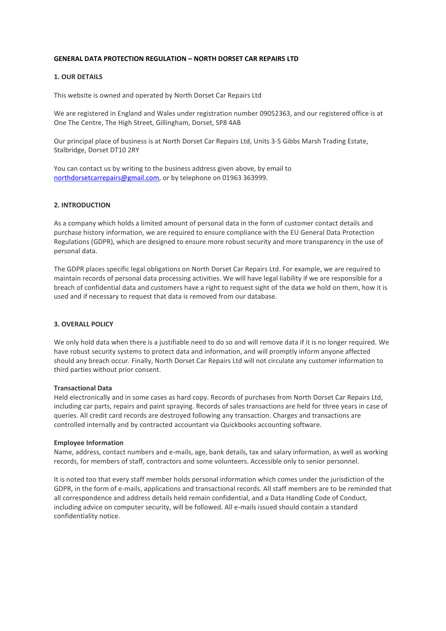## **GENERAL DATA PROTECTION REGULATION – NORTH DORSET CAR REPAIRS LTD**

# **1. OUR DETAILS**

This website is owned and operated by North Dorset Car Repairs Ltd

We are registered in England and Wales under registration number 09052363, and our registered office is at One The Centre, The High Street, Gillingham, Dorset, SP8 4AB

Our principal place of business is at North Dorset Car Repairs Ltd, Units 3-5 Gibbs Marsh Trading Estate, Stalbridge, Dorset DT10 2RY

You can contact us by writing to the business address given above, by email to [northdorsetcarrepairs@gmail.com,](mailto:northdorsetcarrepairs@gmail.com) or by telephone on 01963 363999.

## **2. INTRODUCTION**

As a company which holds a limited amount of personal data in the form of customer contact details and purchase history information, we are required to ensure compliance with the EU General Data Protection Regulations (GDPR), which are designed to ensure more robust security and more transparency in the use of personal data.

The GDPR places specific legal obligations on North Dorset Car Repairs Ltd. For example, we are required to maintain records of personal data processing activities. We will have legal liability if we are responsible for a breach of confidential data and customers have a right to request sight of the data we hold on them, how it is used and if necessary to request that data is removed from our database.

### **3. OVERALL POLICY**

We only hold data when there is a justifiable need to do so and will remove data if it is no longer required. We have robust security systems to protect data and information, and will promptly inform anyone affected should any breach occur. Finally, North Dorset Car Repairs Ltd will not circulate any customer information to third parties without prior consent.

#### **Transactional Data**

Held electronically and in some cases as hard copy. Records of purchases from North Dorset Car Repairs Ltd, including car parts, repairs and paint spraying. Records of sales transactions are held for three years in case of queries. All credit card records are destroyed following any transaction. Charges and transactions are controlled internally and by contracted accountant via Quickbooks accounting software.

#### **Employee Information**

Name, address, contact numbers and e-mails, age, bank details, tax and salary information, as well as working records, for members of staff, contractors and some volunteers. Accessible only to senior personnel.

It is noted too that every staff member holds personal information which comes under the jurisdiction of the GDPR, in the form of e-mails, applications and transactional records. All staff members are to be reminded that all correspondence and address details held remain confidential, and a Data Handling Code of Conduct, including advice on computer security, will be followed. All e-mails issued should contain a standard confidentiality notice.